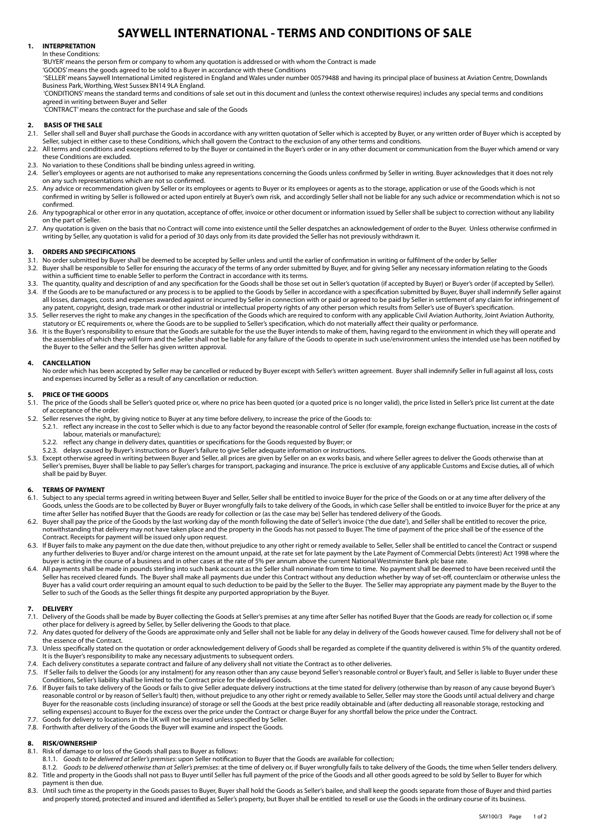# **SAYWELL INTERNATIONAL - TERMS AND CONDITIONS OF SALE**

## **1. INTERPRETATION**

## In these Conditions:

'BUYER' means the person firm or company to whom any quotation is addressed or with whom the Contract is made

'GOODS' means the goods agreed to be sold to a Buyer in accordance with these Conditions

 'SELLER' means Saywell International Limited registered in England and Wales under number 00579488 and having its principal place of business at Aviation Centre, Downlands Business Park, Worthing, West Sussex BN14 9LA England.

 'CONDITIONS' means the standard terms and conditions of sale set out in this document and (unless the context otherwise requires) includes any special terms and conditions agreed in writing between Buyer and Seller

'CONTRACT' means the contract for the purchase and sale of the Goods

# **2. BASIS OF THE SALE**

- Seller shall sell and Buyer shall purchase the Goods in accordance with any written quotation of Seller which is accepted by Buyer, or any written order of Buyer which is accepted by Seller, subject in either case to these Conditions, which shall govern the Contract to the exclusion of any other terms and conditions.
- 2.2. All terms and conditions and exceptions referred to by the Buyer or contained in the Buyer's order or in any other document or communication from the Buyer which amend or vary these Conditions are excluded.
- 2.3. No variation to these Conditions shall be binding unless agreed in writing.
- 2.4. Seller's employees or agents are not authorised to make any representations concerning the Goods unless confirmed by Seller in writing. Buyer acknowledges that it does not rely on any such representations which are not so confirmed.
- 2.5. Any advice or recommendation given by Seller or its employees or agents to Buyer or its employees or agents as to the storage, application or use of the Goods which is not confirmed in writing by Seller is followed or acted upon entirely at Buyer's own risk, and accordingly Seller shall not be liable for any such advice or recommendation which is not so confirmed.
- 2.6. Any typographical or other error in any quotation, acceptance of offer, invoice or other document or information issued by Seller shall be subject to correction without any liability on the part of Seller.
- 2.7. Any quotation is given on the basis that no Contract will come into existence until the Seller despatches an acknowledgement of order to the Buyer. Unless otherwise confirmed in writing by Seller, any quotation is valid for a period of 30 days only from its date provided the Seller has not previously withdrawn it.

## **3. ORDERS AND SPECIFICATIONS**<br> **3.1** No order submitted by Buyer sha

- No order submitted by Buyer shall be deemed to be accepted by Seller unless and until the earlier of confirmation in writing or fulfilment of the order by Seller
- 3.2. Buyer shall be responsible to Seller for ensuring the accuracy of the terms of any order submitted by Buyer, and for giving Seller any necessary information relating to the Goods within a sufficient time to enable Seller to perform the Contract in accordance with its terms.
- 3.3. The quantity, quality and description of and any specification for the Goods shall be those set out in Seller's quotation (if accepted by Buyer) or Buyer's order (if accepted by Seller).<br>3.4. If the Goods are to be ma If the Goods are to be manufactured or any process is to be applied to the Goods by Seller in accordance with a specification submitted by Buyer, Buyer shall indemnify Seller against all losses, damages, costs and expenses awarded against or incurred by Seller in connection with or paid or agreed to be paid by Seller in settlement of any claim for infringement of any patent, copyright, design, trade mark or other industrial or intellectual property rights of any other person which results from Seller's use of Buyer's specification.
- 3.5. Seller reserves the right to make any changes in the specification of the Goods which are required to conform with any applicable Civil Aviation Authority, Joint Aviation Authority, statutory or EC requirements or, where the Goods are to be supplied to Seller's specification, which do not materially affect their quality or performance.
- 3.6. It is the Buyer's responsibility to ensure that the Goods are suitable for the use the Buyer intends to make of them, having regard to the environment in which they will operate and the assemblies of which they will form and the Seller shall not be liable for any failure of the Goods to operate in such use/environment unless the intended use has been notified by the Buyer to the Seller and the Seller has given written approval.

## **4. CANCELLATION**

No order which has been accepted by Seller may be cancelled or reduced by Buyer except with Seller's written agreement. Buyer shall indemnify Seller in full against all loss, costs and expenses incurred by Seller as a result of any cancellation or reduction.

# **5. PRICE OF THE GOODS**

- The price of the Goods shall be Seller's quoted price or, where no price has been quoted (or a quoted price is no longer valid), the price listed in Seller's price list current at the date of acceptance of the order.
- 5.2. Seller reserves the right, by giving notice to Buyer at any time before delivery, to increase the price of the Goods to: 5.2.1. reflect any increase in the cost to Seller which is due to any factor beyond the reasonable control of Seller (for example, foreign exchange fluctuation, increase in the costs of labour, materials or manufacture);
	- 5.2.2. reflect any change in delivery dates, quantities or specifications for the Goods requested by Buyer; or
	- 5.2.3. delays caused by Buyer's instructions or Buyer's failure to give Seller adequate information or instructions.
- 5.3. Except otherwise agreed in writing between Buyer and Seller, all prices are given by Seller on an ex works basis, and where Seller agrees to deliver the Goods otherwise than at Seller's premises, Buyer shall be liable to pay Seller's charges for transport, packaging and insurance. The price is exclusive of any applicable Customs and Excise duties, all of which shall be paid by Buyer.

## **6. TERMS OF PAYMENT**

- 6.1. Subject to any special terms agreed in writing between Buyer and Seller, Seller shall be entitled to invoice Buyer for the price of the Goods on or at any time after delivery of the Goods, unless the Goods are to be collected by Buyer or Buyer wrongfully fails to take delivery of the Goods, in which case Seller shall be entitled to invoice Buyer for the price at any time after Seller has notified Buyer that the Goods are ready for collection or (as the case may be) Seller has tendered delivery of the Goods.
- 6.2. Buyer shall pay the price of the Goods by the last working day of the month following the date of Seller's invoice ('the due date'), and Seller shall be entitled to recover the price, notwithstanding that delivery may not have taken place and the property in the Goods has not passed to Buyer. The time of payment of the price shall be of the essence of the Contract. Receipts for payment will be issued only upon request.
- 6.3. If Buyer fails to make any payment on the due date then, without prejudice to any other right or remedy available to Seller, Seller shall be entitled to cancel the Contract or suspend any further deliveries to Buyer and/or charge interest on the amount unpaid, at the rate set for late payment by the Late Payment of Commercial Debts (interest) Act 1998 where the buyer is acting in the course of a business and in other cases at the rate of 5% per annum above the current National Westminster Bank plc base rate.
- All payments shall be made in pounds sterling into such bank account as the Seller shall nominate from time to time. No payment shall be deemed to have been received until the Seller has received cleared funds. The Buyer shall make all payments due under this Contract without any deduction whether by way of set-off, counterclaim or otherwise unless the Buyer has a valid court order requiring an amount equal to such deduction to be paid by the Seller to the Buyer. The Seller may appropriate any payment made by the Buyer to the Seller to such of the Goods as the Seller things fit despite any purported appropriation by the Buyer.

# **7. DELIVERY**

- Delivery of the Goods shall be made by Buyer collecting the Goods at Seller's premises at any time after Seller has notified Buyer that the Goods are ready for collection or, if some other place for delivery is agreed by Seller, by Seller delivering the Goods to that place.
- 7.2. Any dates quoted for delivery of the Goods are approximate only and Seller shall not be liable for any delay in delivery of the Goods however caused. Time for delivery shall not be of the essence of the Contract.
- 7.3. Unless specifically stated on the quotation or order acknowledgement delivery of Goods shall be regarded as complete if the quantity delivered is within 5% of the quantity ordered. It is the Buyer's responsibility to make any necessary adjustments to subsequent orders.
- 7.4. Each delivery constitutes a separate contract and failure of any delivery shall not vitiate the Contract as to other deliveries.
- 7.5. If Seller fails to deliver the Goods (or any instalment) for any reason other than any cause beyond Seller's reasonable control or Buyer's fault, and Seller is liable to Buyer under these Conditions, Seller's liability shall be limited to the Contract price for the delayed Goods.
- 7.6. If Buyer fails to take delivery of the Goods or fails to give Seller adequate delivery instructions at the time stated for delivery (otherwise than by reason of any cause beyond Buyer's reasonable control or by reason of Seller's fault) then, without prejudice to any other right or remedy available to Seller, Seller may store the Goods until actual delivery and charge Buyer for the reasonable costs (including insurance) of storage or sell the Goods at the best price readily obtainable and (after deducting all reasonable storage, restocking and selling expenses) account to Buyer for the excess over the price under the Contract or charge Buyer for any shortfall below the price under the Contract.
- 7.7. Goods for delivery to locations in the UK will not be insured unless specified by Seller.
- 7.8. Forthwith after delivery of the Goods the Buyer will examine and inspect the Goods.

## **8. RISK/OWNERSHIP**

- 8.1. Risk of damage to or loss of the Goods shall pass to Buyer as follows:
- 8.1.1. *Goods to be delivered at Seller's premises*: upon Seller notification to Buyer that the Goods are available for collection;
- Goods to be delivered otherwise than at Seller's premises: at the time of delivery or, if Buyer wrongfully fails to take delivery of the Goods, the time when Seller tenders delivery. 8.2. Title and property in the Goods shall not pass to Buyer until Seller has full payment of the price of the Goods and all other goods agreed to be sold by Seller to Buyer for which payment is then due.
- 8.3. *Until such time as the property in the Goods passes to Buyer, Buyer shall hold the Goods as Seller's bailee, and shall keep the goods separate from those of Buyer and third parties* and properly stored, protected and insured and identified as Seller's property, but Buyer shall be entitled to resell or use the Goods in the ordinary course of its business.